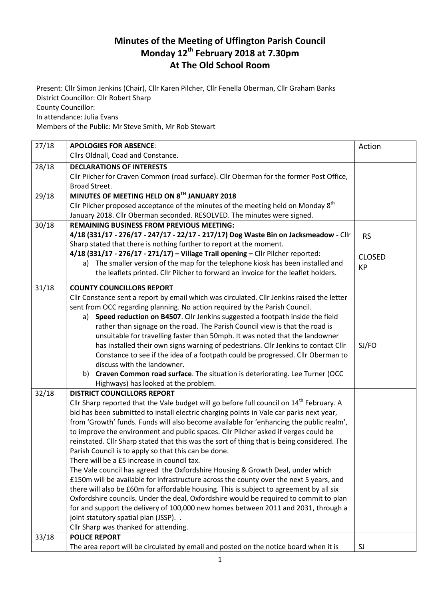## **Minutes of the Meeting of Uffington Parish Council Monday 12th February 2018 at 7.30pm At The Old School Room**

Present: Cllr Simon Jenkins (Chair), Cllr Karen Pilcher, Cllr Fenella Oberman, Cllr Graham Banks District Councillor: Cllr Robert Sharp County Councillor: In attendance: Julia Evans

Members of the Public: Mr Steve Smith, Mr Rob Stewart

| Cllrs Oldnall, Coad and Constance.<br>28/18<br><b>DECLARATIONS OF INTERESTS</b><br>Cllr Pilcher for Craven Common (road surface). Cllr Oberman for the former Post Office,<br>Broad Street.<br>MINUTES OF MEETING HELD ON 8TH JANUARY 2018<br>29/18<br>Cllr Pilcher proposed acceptance of the minutes of the meeting held on Monday 8 <sup>th</sup> |
|------------------------------------------------------------------------------------------------------------------------------------------------------------------------------------------------------------------------------------------------------------------------------------------------------------------------------------------------------|
|                                                                                                                                                                                                                                                                                                                                                      |
|                                                                                                                                                                                                                                                                                                                                                      |
|                                                                                                                                                                                                                                                                                                                                                      |
|                                                                                                                                                                                                                                                                                                                                                      |
|                                                                                                                                                                                                                                                                                                                                                      |
|                                                                                                                                                                                                                                                                                                                                                      |
| January 2018. Cllr Oberman seconded. RESOLVED. The minutes were signed.                                                                                                                                                                                                                                                                              |
| 30/18<br><b>REMAINING BUSINESS FROM PREVIOUS MEETING:</b>                                                                                                                                                                                                                                                                                            |
| 4/18 (331/17 - 276/17 - 247/17 - 22/17 - 217/17) Dog Waste Bin on Jacksmeadow - Cllr<br><b>RS</b>                                                                                                                                                                                                                                                    |
| Sharp stated that there is nothing further to report at the moment.                                                                                                                                                                                                                                                                                  |
| 4/18 (331/17 - 276/17 - 271/17) - Village Trail opening - Cllr Pilcher reported:<br><b>CLOSED</b>                                                                                                                                                                                                                                                    |
| a) The smaller version of the map for the telephone kiosk has been installed and<br><b>KP</b>                                                                                                                                                                                                                                                        |
| the leaflets printed. Cllr Pilcher to forward an invoice for the leaflet holders.                                                                                                                                                                                                                                                                    |
| 31/18<br><b>COUNTY COUNCILLORS REPORT</b>                                                                                                                                                                                                                                                                                                            |
| Cllr Constance sent a report by email which was circulated. Cllr Jenkins raised the letter                                                                                                                                                                                                                                                           |
| sent from OCC regarding planning. No action required by the Parish Council.                                                                                                                                                                                                                                                                          |
| Speed reduction on B4507. Cllr Jenkins suggested a footpath inside the field<br>a)                                                                                                                                                                                                                                                                   |
| rather than signage on the road. The Parish Council view is that the road is                                                                                                                                                                                                                                                                         |
| unsuitable for travelling faster than 50mph. It was noted that the landowner                                                                                                                                                                                                                                                                         |
| has installed their own signs warning of pedestrians. Cllr Jenkins to contact Cllr<br>SJ/FO                                                                                                                                                                                                                                                          |
| Constance to see if the idea of a footpath could be progressed. Cllr Oberman to                                                                                                                                                                                                                                                                      |
| discuss with the landowner.                                                                                                                                                                                                                                                                                                                          |
| Craven Common road surface. The situation is deteriorating. Lee Turner (OCC<br>b)                                                                                                                                                                                                                                                                    |
| Highways) has looked at the problem.                                                                                                                                                                                                                                                                                                                 |
| 32/18<br><b>DISTRICT COUNCILLORS REPORT</b>                                                                                                                                                                                                                                                                                                          |
| Cllr Sharp reported that the Vale budget will go before full council on 14 <sup>th</sup> February. A                                                                                                                                                                                                                                                 |
| bid has been submitted to install electric charging points in Vale car parks next year,                                                                                                                                                                                                                                                              |
| from 'Growth' funds. Funds will also become available for 'enhancing the public realm',                                                                                                                                                                                                                                                              |
| to improve the environment and public spaces. Cllr Pilcher asked if verges could be                                                                                                                                                                                                                                                                  |
| reinstated. Cllr Sharp stated that this was the sort of thing that is being considered. The                                                                                                                                                                                                                                                          |
| Parish Council is to apply so that this can be done.                                                                                                                                                                                                                                                                                                 |
| There will be a £5 increase in council tax.                                                                                                                                                                                                                                                                                                          |
| The Vale council has agreed the Oxfordshire Housing & Growth Deal, under which                                                                                                                                                                                                                                                                       |
| £150m will be available for infrastructure across the county over the next 5 years, and                                                                                                                                                                                                                                                              |
| there will also be £60m for affordable housing. This is subject to agreement by all six                                                                                                                                                                                                                                                              |
| Oxfordshire councils. Under the deal, Oxfordshire would be required to commit to plan                                                                                                                                                                                                                                                                |
| for and support the delivery of 100,000 new homes between 2011 and 2031, through a                                                                                                                                                                                                                                                                   |
| joint statutory spatial plan (JSSP). .                                                                                                                                                                                                                                                                                                               |
| Cllr Sharp was thanked for attending.                                                                                                                                                                                                                                                                                                                |
| 33/18<br><b>POLICE REPORT</b>                                                                                                                                                                                                                                                                                                                        |
| The area report will be circulated by email and posted on the notice board when it is<br>SJ                                                                                                                                                                                                                                                          |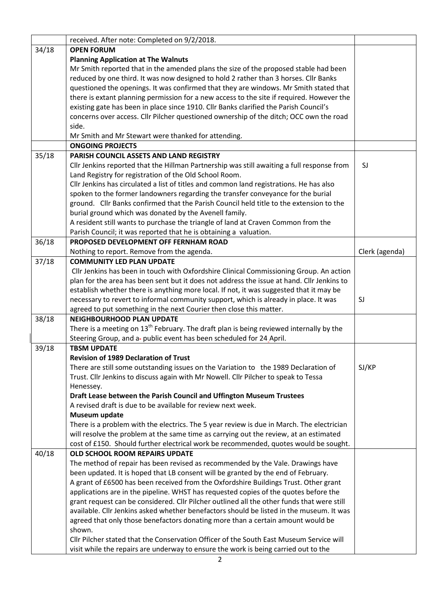|       | received. After note: Completed on 9/2/2018.                                                 |                |
|-------|----------------------------------------------------------------------------------------------|----------------|
| 34/18 | <b>OPEN FORUM</b>                                                                            |                |
|       | <b>Planning Application at The Walnuts</b>                                                   |                |
|       | Mr Smith reported that in the amended plans the size of the proposed stable had been         |                |
|       | reduced by one third. It was now designed to hold 2 rather than 3 horses. Cllr Banks         |                |
|       | questioned the openings. It was confirmed that they are windows. Mr Smith stated that        |                |
|       | there is extant planning permission for a new access to the site if required. However the    |                |
|       | existing gate has been in place since 1910. Cllr Banks clarified the Parish Council's        |                |
|       | concerns over access. Cllr Pilcher questioned ownership of the ditch; OCC own the road       |                |
|       | side.                                                                                        |                |
|       | Mr Smith and Mr Stewart were thanked for attending.                                          |                |
|       | <b>ONGOING PROJECTS</b>                                                                      |                |
| 35/18 | PARISH COUNCIL ASSETS AND LAND REGISTRY                                                      |                |
|       | Cllr Jenkins reported that the Hillman Partnership was still awaiting a full response from   | SJ             |
|       | Land Registry for registration of the Old School Room.                                       |                |
|       | Cllr Jenkins has circulated a list of titles and common land registrations. He has also      |                |
|       | spoken to the former landowners regarding the transfer conveyance for the burial             |                |
|       | ground. Cllr Banks confirmed that the Parish Council held title to the extension to the      |                |
|       | burial ground which was donated by the Avenell family.                                       |                |
|       | A resident still wants to purchase the triangle of land at Craven Common from the            |                |
|       | Parish Council; it was reported that he is obtaining a valuation.                            |                |
| 36/18 | PROPOSED DEVELOPMENT OFF FERNHAM ROAD                                                        |                |
|       | Nothing to report. Remove from the agenda.                                                   | Clerk (agenda) |
| 37/18 | <b>COMMUNITY LED PLAN UPDATE</b>                                                             |                |
|       | Cllr Jenkins has been in touch with Oxfordshire Clinical Commissioning Group. An action      |                |
|       | plan for the area has been sent but it does not address the issue at hand. Cllr Jenkins to   |                |
|       | establish whether there is anything more local. If not, it was suggested that it may be      |                |
|       | necessary to revert to informal community support, which is already in place. It was         | SJ             |
|       | agreed to put something in the next Courier then close this matter.                          |                |
| 38/18 | <b>NEIGHBOURHOOD PLAN UPDATE</b>                                                             |                |
|       | There is a meeting on $13^{th}$ February. The draft plan is being reviewed internally by the |                |
|       | Steering Group, and a- public event has been scheduled for 24 April.                         |                |
| 39/18 | <b>TBSM UPDATE</b>                                                                           |                |
|       | <b>Revision of 1989 Declaration of Trust</b>                                                 |                |
|       | There are still some outstanding issues on the Variation to the 1989 Declaration of          | SJ/KP          |
|       | Trust. Cllr Jenkins to discuss again with Mr Nowell. Cllr Pilcher to speak to Tessa          |                |
|       | Henessey.                                                                                    |                |
|       | Draft Lease between the Parish Council and Uffington Museum Trustees                         |                |
|       | A revised draft is due to be available for review next week.                                 |                |
|       | Museum update                                                                                |                |
|       | There is a problem with the electrics. The 5 year review is due in March. The electrician    |                |
|       | will resolve the problem at the same time as carrying out the review, at an estimated        |                |
|       | cost of £150. Should further electrical work be recommended, quotes would be sought.         |                |
| 40/18 | OLD SCHOOL ROOM REPAIRS UPDATE                                                               |                |
|       | The method of repair has been revised as recommended by the Vale. Drawings have              |                |
|       | been updated. It is hoped that LB consent will be granted by the end of February.            |                |
|       | A grant of £6500 has been received from the Oxfordshire Buildings Trust. Other grant         |                |
|       | applications are in the pipeline. WHST has requested copies of the quotes before the         |                |
|       | grant request can be considered. Cllr Pilcher outlined all the other funds that were still   |                |
|       | available. Cllr Jenkins asked whether benefactors should be listed in the museum. It was     |                |
|       | agreed that only those benefactors donating more than a certain amount would be              |                |
|       | shown.                                                                                       |                |
|       | Cllr Pilcher stated that the Conservation Officer of the South East Museum Service will      |                |
|       | visit while the repairs are underway to ensure the work is being carried out to the          |                |
|       |                                                                                              |                |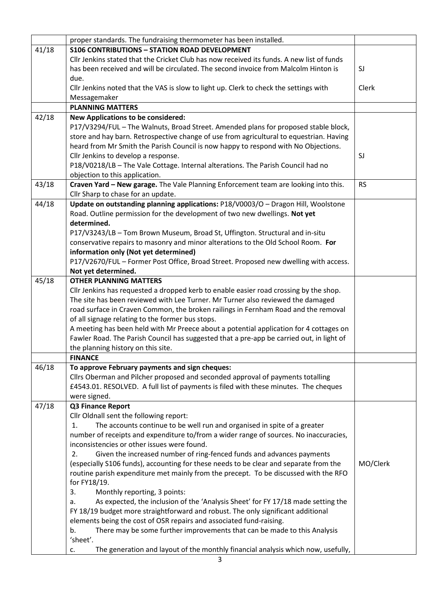|       | proper standards. The fundraising thermometer has been installed.                                                                                                                  |           |
|-------|------------------------------------------------------------------------------------------------------------------------------------------------------------------------------------|-----------|
| 41/18 | <b>S106 CONTRIBUTIONS - STATION ROAD DEVELOPMENT</b>                                                                                                                               |           |
|       | Cllr Jenkins stated that the Cricket Club has now received its funds. A new list of funds                                                                                          |           |
|       | has been received and will be circulated. The second invoice from Malcolm Hinton is                                                                                                | SJ        |
|       | due.                                                                                                                                                                               |           |
|       | Cllr Jenkins noted that the VAS is slow to light up. Clerk to check the settings with                                                                                              | Clerk     |
|       | Messagemaker                                                                                                                                                                       |           |
|       | <b>PLANNING MATTERS</b>                                                                                                                                                            |           |
| 42/18 | <b>New Applications to be considered:</b>                                                                                                                                          |           |
|       | P17/V3294/FUL - The Walnuts, Broad Street. Amended plans for proposed stable block,                                                                                                |           |
|       | store and hay barn. Retrospective change of use from agricultural to equestrian. Having                                                                                            |           |
|       | heard from Mr Smith the Parish Council is now happy to respond with No Objections.                                                                                                 |           |
|       | Cllr Jenkins to develop a response.                                                                                                                                                | SJ        |
|       | P18/V0218/LB - The Vale Cottage. Internal alterations. The Parish Council had no                                                                                                   |           |
|       | objection to this application.                                                                                                                                                     |           |
| 43/18 | Craven Yard - New garage. The Vale Planning Enforcement team are looking into this.                                                                                                | <b>RS</b> |
|       | Cllr Sharp to chase for an update.                                                                                                                                                 |           |
| 44/18 | Update on outstanding planning applications: P18/V0003/O - Dragon Hill, Woolstone                                                                                                  |           |
|       | Road. Outline permission for the development of two new dwellings. Not yet                                                                                                         |           |
|       | determined.                                                                                                                                                                        |           |
|       | P17/V3243/LB - Tom Brown Museum, Broad St, Uffington. Structural and in-situ                                                                                                       |           |
|       | conservative repairs to masonry and minor alterations to the Old School Room. For                                                                                                  |           |
|       | information only (Not yet determined)                                                                                                                                              |           |
|       | P17/V2670/FUL - Former Post Office, Broad Street. Proposed new dwelling with access.                                                                                               |           |
|       | Not yet determined.                                                                                                                                                                |           |
| 45/18 | <b>OTHER PLANNING MATTERS</b>                                                                                                                                                      |           |
|       | Cllr Jenkins has requested a dropped kerb to enable easier road crossing by the shop.                                                                                              |           |
|       | The site has been reviewed with Lee Turner. Mr Turner also reviewed the damaged                                                                                                    |           |
|       | road surface in Craven Common, the broken railings in Fernham Road and the removal                                                                                                 |           |
|       | of all signage relating to the former bus stops.                                                                                                                                   |           |
|       | A meeting has been held with Mr Preece about a potential application for 4 cottages on<br>Fawler Road. The Parish Council has suggested that a pre-app be carried out, in light of |           |
|       | the planning history on this site.                                                                                                                                                 |           |
|       | <b>FINANCE</b>                                                                                                                                                                     |           |
| 46/18 | To approve February payments and sign cheques:                                                                                                                                     |           |
|       | Cllrs Oberman and Pilcher proposed and seconded approval of payments totalling                                                                                                     |           |
|       | £4543.01. RESOLVED. A full list of payments is filed with these minutes. The cheques                                                                                               |           |
|       | were signed.                                                                                                                                                                       |           |
| 47/18 | Q3 Finance Report                                                                                                                                                                  |           |
|       | Cllr Oldnall sent the following report:                                                                                                                                            |           |
|       | The accounts continue to be well run and organised in spite of a greater<br>1.                                                                                                     |           |
|       | number of receipts and expenditure to/from a wider range of sources. No inaccuracies,                                                                                              |           |
|       | inconsistencies or other issues were found.                                                                                                                                        |           |
|       | Given the increased number of ring-fenced funds and advances payments<br>2.                                                                                                        |           |
|       | (especially S106 funds), accounting for these needs to be clear and separate from the                                                                                              | MO/Clerk  |
|       | routine parish expenditure met mainly from the precept. To be discussed with the RFO                                                                                               |           |
|       | for FY18/19.                                                                                                                                                                       |           |
|       | 3.<br>Monthly reporting, 3 points:                                                                                                                                                 |           |
|       | As expected, the inclusion of the 'Analysis Sheet' for FY 17/18 made setting the<br>a.                                                                                             |           |
|       | FY 18/19 budget more straightforward and robust. The only significant additional                                                                                                   |           |
|       | elements being the cost of OSR repairs and associated fund-raising.                                                                                                                |           |
|       | There may be some further improvements that can be made to this Analysis<br>b.                                                                                                     |           |
|       | 'sheet'.                                                                                                                                                                           |           |
|       | The generation and layout of the monthly financial analysis which now, usefully,<br>c.                                                                                             |           |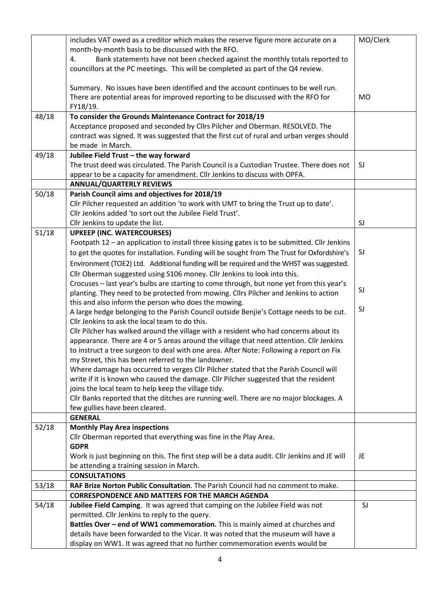|       | includes VAT owed as a creditor which makes the reserve figure more accurate on a                                                                                                  | MO/Clerk |
|-------|------------------------------------------------------------------------------------------------------------------------------------------------------------------------------------|----------|
|       | month-by-month basis to be discussed with the RFO.                                                                                                                                 |          |
|       | Bank statements have not been checked against the monthly totals reported to<br>4.                                                                                                 |          |
|       | councillors at the PC meetings. This will be completed as part of the Q4 review.                                                                                                   |          |
|       | Summary. No issues have been identified and the account continues to be well run.                                                                                                  |          |
|       | There are potential areas for improved reporting to be discussed with the RFO for                                                                                                  | MO       |
|       | FY18/19.                                                                                                                                                                           |          |
| 48/18 | To consider the Grounds Maintenance Contract for 2018/19                                                                                                                           |          |
|       | Acceptance proposed and seconded by Cllrs Pilcher and Oberman. RESOLVED. The                                                                                                       |          |
|       | contract was signed. It was suggested that the first cut of rural and urban verges should                                                                                          |          |
|       | be made in March.                                                                                                                                                                  |          |
| 49/18 | Jubilee Field Trust - the way forward                                                                                                                                              |          |
|       | The trust deed was circulated. The Parish Council is a Custodian Trustee. There does not                                                                                           | SJ       |
|       | appear to be a capacity for amendment. Cllr Jenkins to discuss with OPFA.                                                                                                          |          |
|       | <b>ANNUAL/QUARTERLY REVIEWS</b>                                                                                                                                                    |          |
| 50/18 | Parish Council aims and objectives for 2018/19                                                                                                                                     |          |
|       | Cllr Pilcher requested an addition 'to work with UMT to bring the Trust up to date'.                                                                                               |          |
|       | Cllr Jenkins added 'to sort out the Jubilee Field Trust'.                                                                                                                          |          |
|       | Cllr Jenkins to update the list.                                                                                                                                                   | SJ       |
| 51/18 | <b>UPKEEP (INC. WATERCOURSES)</b>                                                                                                                                                  |          |
|       | Footpath 12 - an application to install three kissing gates is to be submitted. Cllr Jenkins                                                                                       |          |
|       | to get the quotes for installation. Funding will be sought from The Trust for Oxfordshire's                                                                                        | SJ       |
|       | Environment (TOE2) Ltd. Additional funding will be required and the WHST was suggested.                                                                                            |          |
|       | Cllr Oberman suggested using S106 money. Cllr Jenkins to look into this.                                                                                                           |          |
|       | Crocuses - last year's bulbs are starting to come through, but none yet from this year's                                                                                           | SJ       |
|       | planting. They need to be protected from mowing. Cllrs Pilcher and Jenkins to action                                                                                               |          |
|       | this and also inform the person who does the mowing.                                                                                                                               | SJ       |
|       | A large hedge belonging to the Parish Council outside Benjie's Cottage needs to be cut.                                                                                            |          |
|       | Cllr Jenkins to ask the local team to do this.                                                                                                                                     |          |
|       | Cllr Pilcher has walked around the village with a resident who had concerns about its                                                                                              |          |
|       | appearance. There are 4 or 5 areas around the village that need attention. Cllr Jenkins<br>to instruct a tree surgeon to deal with one area. After Note: Following a report on Fix |          |
|       | my Street, this has been referred to the landowner.                                                                                                                                |          |
|       | Where damage has occurred to verges Cllr Pilcher stated that the Parish Council will                                                                                               |          |
|       | write if it is known who caused the damage. Cllr Pilcher suggested that the resident                                                                                               |          |
|       | joins the local team to help keep the village tidy.                                                                                                                                |          |
|       | Cllr Banks reported that the ditches are running well. There are no major blockages. A                                                                                             |          |
|       | few gullies have been cleared.                                                                                                                                                     |          |
|       | <b>GENERAL</b>                                                                                                                                                                     |          |
| 52/18 | <b>Monthly Play Area inspections</b>                                                                                                                                               |          |
|       | Cllr Oberman reported that everything was fine in the Play Area.                                                                                                                   |          |
|       | <b>GDPR</b>                                                                                                                                                                        |          |
|       | Work is just beginning on this. The first step will be a data audit. Cllr Jenkins and JE will                                                                                      | JE       |
|       | be attending a training session in March.                                                                                                                                          |          |
|       | <b>CONSULTATIONS</b>                                                                                                                                                               |          |
| 53/18 | RAF Brize Norton Public Consultation. The Parish Council had no comment to make.                                                                                                   |          |
|       | <b>CORRESPONDENCE AND MATTERS FOR THE MARCH AGENDA</b>                                                                                                                             |          |
| 54/18 | Jubilee Field Camping. It was agreed that camping on the Jubilee Field was not                                                                                                     | SJ       |
|       | permitted. Cllr Jenkins to reply to the query.                                                                                                                                     |          |
|       | Battles Over - end of WW1 commemoration. This is mainly aimed at churches and                                                                                                      |          |
|       | details have been forwarded to the Vicar. It was noted that the museum will have a                                                                                                 |          |
|       | display on WW1. It was agreed that no further commemoration events would be                                                                                                        |          |